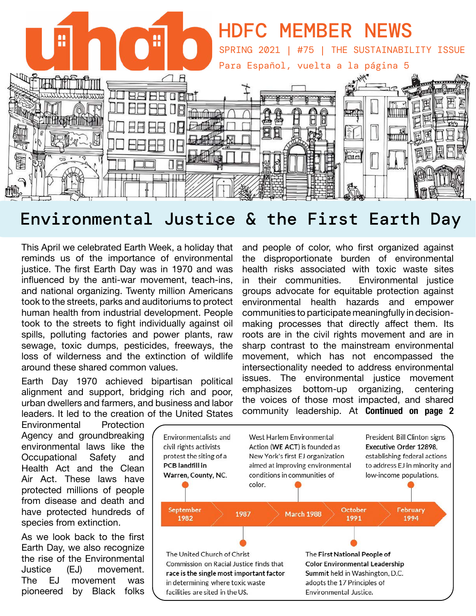

# Environmental Justice & the First Earth Day

This April we celebrated Earth Week, a holiday that reminds us of the importance of environmental justice. The first Earth Day was in 1970 and was influenced by the anti-war movement, teach-ins, and national organizing. Twenty million Americans took to the streets, parks and auditoriums to protect human health from industrial development. People took to the streets to fight individually against oil spills, polluting factories and power plants, raw sewage, toxic dumps, pesticides, freeways, the loss of wilderness and the extinction of wildlife around these shared common values.

Earth Day 1970 achieved bipartisan political alignment and support, bridging rich and poor, urban dwellers and farmers, and business and labor leaders. It led to the creation of the United States

Environmental Protection Agency and groundbreaking environmental laws like the<br>Occupational Safety and Occupational Health Act and the Clean Air Act. These laws have protected millions of people from disease and death and have protected hundreds of species from extinction.

As we look back to the first Earth Day, we also recognize the rise of the Environmental Justice (EJ) movement. The EJ movement was pioneered by Black folks

and people of color, who first organized against the disproportionate burden of environmental health risks associated with toxic waste sites in their communities. Environmental justice groups advocate for equitable protection against environmental health hazards and empower communities to participate meaningfully in decisionmaking processes that directly affect them. Its roots are in the civil rights movement and are in sharp contrast to the mainstream environmental movement, which has not encompassed the intersectionality needed to address environmental issues. The environmental justice movement emphasizes bottom-up organizing, centering the voices of those most impacted, and shared community leadership. At **Continued on page 2** 

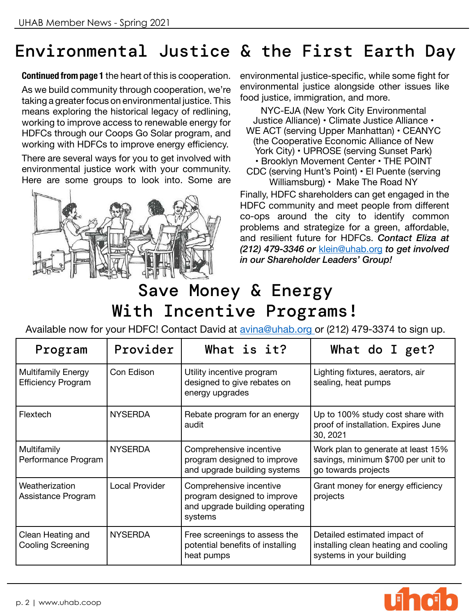# Environmental Justice & the First Earth Day

**Continued from page 1** the heart of this is cooperation.

As we build community through cooperation, we're taking a greater focus on environmental justice. This means exploring the historical legacy of redlining, working to improve access to renewable energy for HDFCs through our Coops Go Solar program, and working with HDFCs to improve energy efficiency.

There are several ways for you to get involved with environmental justice work with your community. Here are some groups to look into. Some are



environmental justice-specific, while some fight for environmental justice alongside other issues like food justice, immigration, and more.

NYC-EJA (New York City Environmental Justice Alliance) • Climate Justice Alliance • WE ACT (serving Upper Manhattan) • CEANYC (the Cooperative Economic Alliance of New York City) • UPROSE (serving Sunset Park) • Brooklyn Movement Center • THE POINT CDC (serving Hunt's Point) • El Puente (serving Williamsburg) • Make The Road NY

Finally, HDFC shareholders can get engaged in the HDFC community and meet people from different co-ops around the city to identify common problems and strategize for a green, affordable, and resilient future for HDFCs. *Contact Eliza at (212) 479-3346 or* [klein@uhab.org](mailto:klein%40uhab.org?subject=) *to get involved in our Shareholder Leaders' Group!*

# Save Money & Energy With Incentive Programs!

Available now for your HDFC! Contact David at [avina@uhab.org](mailto:avina%40uhab.org%20?subject=) or (212) 479-3374 to sign up.

| Program                                                | Provider              | What is it?                                                                                         | What do I get?                                                                                   |
|--------------------------------------------------------|-----------------------|-----------------------------------------------------------------------------------------------------|--------------------------------------------------------------------------------------------------|
| <b>Multifamily Energy</b><br><b>Efficiency Program</b> | Con Edison            | Utility incentive program<br>designed to give rebates on<br>energy upgrades                         | Lighting fixtures, aerators, air<br>sealing, heat pumps                                          |
| Flextech                                               | <b>NYSERDA</b>        | Rebate program for an energy<br>audit                                                               | Up to 100% study cost share with<br>proof of installation. Expires June<br>30, 2021              |
| Multifamily<br>Performance Program                     | <b>NYSERDA</b>        | Comprehensive incentive<br>program designed to improve<br>and upgrade building systems              | Work plan to generate at least 15%<br>savings, minimum \$700 per unit to<br>go towards projects  |
| Weatherization<br>Assistance Program                   | <b>Local Provider</b> | Comprehensive incentive<br>program designed to improve<br>and upgrade building operating<br>systems | Grant money for energy efficiency<br>projects                                                    |
| Clean Heating and<br>Cooling Screening                 | <b>NYSERDA</b>        | Free screenings to assess the<br>potential benefits of installing<br>heat pumps                     | Detailed estimated impact of<br>installing clean heating and cooling<br>systems in your building |

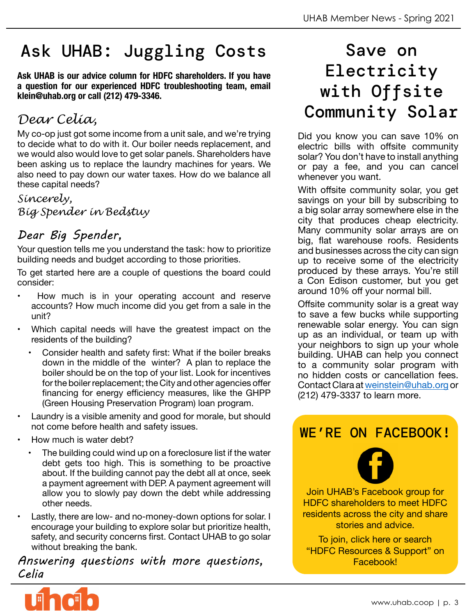# Ask UHAB: Juggling Costs

**Ask UHAB is our advice column for HDFC shareholders. If you have a question for our experienced HDFC troubleshooting team, email klein@uhab.org or call (212) 479-3346.**

### *Dear Celia,*

My co-op just got some income from a unit sale, and we're trying to decide what to do with it. Our boiler needs replacement, and we would also would love to get solar panels. Shareholders have been asking us to replace the laundry machines for years. We also need to pay down our water taxes. How do we balance all these capital needs?

*Sincerely, Big Spender in Bedstuy*

### *Dear Big Spender,*

Your question tells me you understand the task: how to prioritize building needs and budget according to those priorities.

To get started here are a couple of questions the board could consider:

- How much is in your operating account and reserve accounts? How much income did you get from a sale in the unit?
- Which capital needs will have the greatest impact on the residents of the building?
	- Consider health and safety first: What if the boiler breaks down in the middle of the winter? A plan to replace the boiler should be on the top of your list. Look for incentives for the boiler replacement; the City and other agencies offer financing for energy efficiency measures, like the GHPP (Green Housing Preservation Program) loan program.
- Laundry is a visible amenity and good for morale, but should not come before health and safety issues.
- How much is water debt?
	- The building could wind up on a foreclosure list if the water debt gets too high. This is something to be proactive about. If the building cannot pay the debt all at once, seek a payment agreement with DEP. A payment agreement will allow you to slowly pay down the debt while addressing other needs.
- Lastly, there are low- and no-money-down options for solar. I encourage your building to explore solar but prioritize health, safety, and security concerns first. Contact UHAB to go solar without breaking the bank.

*Answering questions with more questions, Celia*



Did you know you can save 10% on electric bills with offsite community solar? You don't have to install anything or pay a fee, and you can cancel whenever you want.

With offsite community solar, you get savings on your bill by subscribing to a big solar array somewhere else in the city that produces cheap electricity. Many community solar arrays are on big, flat warehouse roofs. Residents and businesses across the city can sign up to receive some of the electricity produced by these arrays. You're still a Con Edison customer, but you get around 10% off your normal bill.

Offsite community solar is a great way to save a few bucks while supporting renewable solar energy. You can sign up as an individual, or team up with your neighbors to sign up your whole building. UHAB can help you connect to a community solar program with no hidden costs or cancellation fees. Contact Clara at [weinstein@uhab.org](mailto:weinstein%40uhab.org?subject=) or (212) 479-3337 to learn more.

### [WE'RE ON FACEBOOK!](http://https://www.facebook.com/groups/341750616885364/)



Join UHAB's Facebook group for HDFC shareholders to meet HDFC residents across the city and share stories and advice.

To join, click here or search "HDFC Resources & Support" on Facebook!

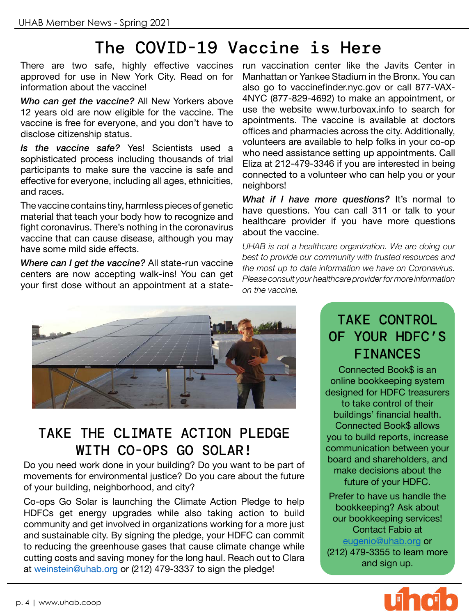# The COVID-19 Vaccine is Here

There are two safe, highly effective vaccines approved for use in New York City. Read on for information about the vaccine!

*Who can get the vaccine?* All New Yorkers above 12 years old are now eligible for the vaccine. The vaccine is free for everyone, and you don't have to disclose citizenship status.

*Is the vaccine safe?* Yes! Scientists used a sophisticated process including thousands of trial participants to make sure the vaccine is safe and effective for everyone, including all ages, ethnicities, and races.

The vaccine contains tiny, harmless pieces of genetic material that teach your body how to recognize and fight coronavirus. There's nothing in the coronavirus vaccine that can cause disease, although you may have some mild side effects.

*Where can I get the vaccine?* All state-run vaccine centers are now accepting walk-ins! You can get your first dose without an appointment at a state-

run vaccination center like the Javits Center in Manhattan or Yankee Stadium in the Bronx. You can also go to vaccinefinder.nyc.gov or call 877-VAX-4NYC (877-829-4692) to make an appointment, or use the website www.turbovax.info to search for apointments. The vaccine is available at doctors offices and pharmacies across the city. Additionally, volunteers are available to help folks in your co-op who need assistance setting up appointments. Call Eliza at 212-479-3346 if you are interested in being connected to a volunteer who can help you or your neighbors!

*What if I have more questions?* It's normal to have questions. You can call 311 or talk to your healthcare provider if you have more questions about the vaccine.

*UHAB is not a healthcare organization. We are doing our best to provide our community with trusted resources and the most up to date information we have on Coronavirus. Please consult your healthcare provider for more information on the vaccine.*



### TAKE THE CLIMATE ACTION PLEDGE WITH CO-OPS GO SOLAR!

Do you need work done in your building? Do you want to be part of movements for environmental justice? Do you care about the future of your building, neighborhood, and city?

Co-ops Go Solar is launching the Climate Action Pledge to help HDFCs get energy upgrades while also taking action to build community and get involved in organizations working for a more just and sustainable city. By signing the pledge, your HDFC can commit to reducing the greenhouse gases that cause climate change while cutting costs and saving money for the long haul. Reach out to Clara at [weinstein@uhab.org](mailto:weinstein%40uhab.org?subject=) or (212) 479-3337 to sign the pledge!

### TAKE CONTROL OF YOUR HDFC'S FINANCES

Connected Book\$ is an online bookkeeping system designed for HDFC treasurers to take control of their buildings' financial health. Connected Book\$ allows you to build reports, increase communication between your board and shareholders, and make decisions about the future of your HDFC.

Prefer to have us handle the bookkeeping? Ask about our bookkeeping services! Contact Fabio at [eugenio@uhab.org](mailto:eugenio%40uhab.org?subject=) or (212) 479-3355 to learn more and sign up.

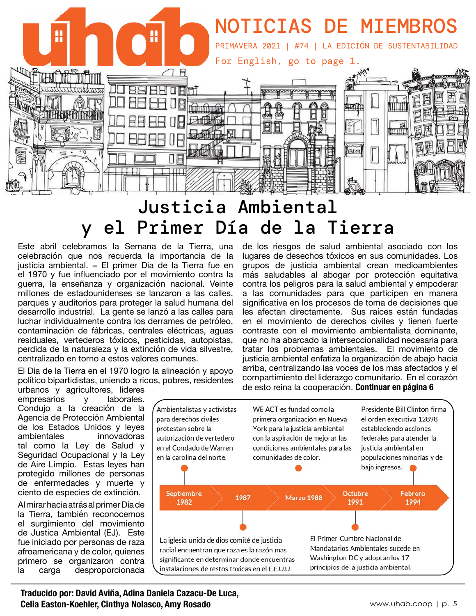

# Justicia Ambiental y el Primer Día de la Tierra

Este abril celebramos la Semana de la Tierra, una celebración que nos recuerda la importancia de la justicia ambiental. = El primer Dia de la Tierra fue en el 1970 y fue influenciado por el movimiento contra la guerra, la enseñanza y organización nacional. Veinte millones de estadounidenses se lanzaron a las calles, parques y auditorios para proteger la salud humana del desarrollo industrial. La gente se lanzó a las calles para luchar individualmente contra los derrames de petróleo, contaminación de fábricas, centrales eléctricas, aguas residuales, vertederos tóxicos, pesticidas, autopistas, perdida de la naturaleza y la extinción de vida silvestre, centralizado en torno a estos valores comunes.

El Dia de la Tierra en el 1970 logro la alineación y apoyo político bipartidistas, uniendo a ricos, pobres, residentes

urbanos y agricultores, lideres<br>empresarios y laborales. empresarios y Condujo a la creación de la Agencia de Protección Ambiental de los Estados Unidos y leyes<br>ambientales innovadoras innovadoras tal como la Ley de Salud y Seguridad Ocupacional y la Ley de Aire Limpio. Estas leyes han protegido millones de personas de enfermedades y muerte y ciento de especies de extinción.

Al mirar hacia atrás al primer Dia de la Tierra, también reconocemos el surgimiento del movimiento de Justica Ambiental (EJ). Este fue iniciado por personas de raza afroamericana y de color, quienes primero se organizaron contra la carga desproporcionada

de los riesgos de salud ambiental asociado con los lugares de desechos tóxicos en sus comunidades. Los grupos de justicia ambiental crean medioambientes más saludables al abogar por protección equitativa contra los peligros para la salud ambiental y empoderar a las comunidades para que participen en manera significativa en los procesos de toma de decisiones que les afectan directamente. Sus raíces están fundadas en el movimiento de derechos civiles y tienen fuerte contraste con el movimiento ambientalista dominante, que no ha abarcado la interseccionalidad necesaria para tratar los problemas ambientales. El movimiento de justicia ambiental enfatiza la organización de abajo hacia arriba, centralizando las voces de los mas afectados y el compartimiento del liderazgo comunitario. En el corazón de esto reina la cooperación. **Continuar en página 6**



**Traducido por: David Aviña, Adina Daniela Cazacu-De Luca, Celia Easton-Koehler, Cinthya Nolasco, Amy Rosado**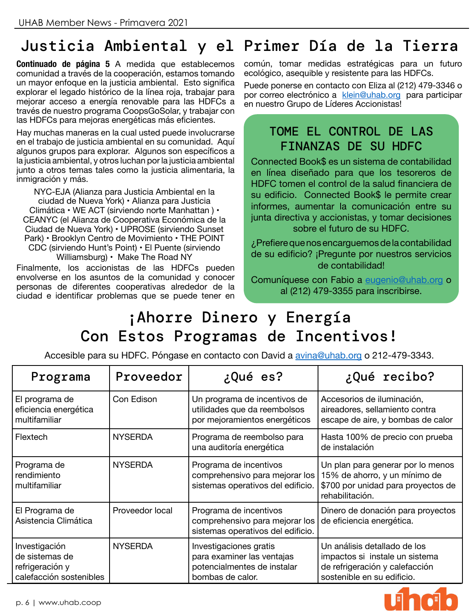# Justicia Ambiental y el Primer Día de la Tierra

**Continuado de página 5** A medida que establecemos comunidad a través de la cooperación, estamos tomando un mayor enfoque en la justicia ambiental. Esto significa explorar el legado histórico de la línea roja, trabajar para mejorar acceso a energía renovable para las HDFCs a través de nuestro programa CoopsGoSolar, y trabajar con las HDFCs para mejoras energéticas más eficientes.

Hay muchas maneras en la cual usted puede involucrarse en el trabajo de justicia ambiental en su comunidad. Aquí algunos grupos para explorar. Algunos son específicos a la justicia ambiental, y otros luchan por la justicia ambiental junto a otros temas tales como la justicia alimentaria, la inmigración y más.

NYC-EJA (Alianza para Justicia Ambiental en la ciudad de Nueva York) • Alianza para Justicia Climática • WE ACT (sirviendo norte Manhattan ) • CEANYC (el Alianza de Cooperativa Económica de la Ciudad de Nueva York) • UPROSE (sirviendo Sunset Park) • Brooklyn Centro de Movimiento • THE POINT CDC (sirviendo Hunt's Point) • El Puente (sirviendo Williamsburg) • Make The Road NY

Finalmente, los accionistas de las HDFCs pueden envolverse en los asuntos de la comunidad y conocer personas de diferentes cooperativas alrededor de la ciudad e identificar problemas que se puede tener en común, tomar medidas estratégicas para un futuro ecológico, asequible y resistente para las HDFCs.

Puede ponerse en contacto con Eliza al (212) 479-3346 o por correo electrónico a [klein@uhab.org](mailto:klein%40uhab.org?subject=) para participar en nuestro Grupo de Líderes Accionistas!

#### TOME EL CONTROL DE LAS FINANZAS DE SU HDFC

Connected Book\$ es un sistema de contabilidad en línea diseñado para que los tesoreros de HDFC tomen el control de la salud financiera de su edificio. Connected Book\$ le permite crear informes, aumentar la comunicación entre su junta directiva y accionistas, y tomar decisiones sobre el futuro de su HDFC.

¿Prefiere que nos encarguemos de la contabilidad de su edificio? ¡Pregunte por nuestros servicios de contabilidad!

Comuníquese con Fabio a [eugenio@uhab.org](mailto:eugenio%40uhab.org?subject=) o al (212) 479-3355 para inscribirse.

# ¡Ahorre Dinero y Energía Con Estos Programas de Incentivos!

Accesible para su HDFC. Póngase en contacto con David a [avina@uhab.org](mailto:avina%40uhab.org?subject=) o 212-479-3343.

| Programa                                                                      | Proveedor       | ¿Qué es?                                                                                                | ¿Qué recibo?                                                                                                                   |
|-------------------------------------------------------------------------------|-----------------|---------------------------------------------------------------------------------------------------------|--------------------------------------------------------------------------------------------------------------------------------|
| El programa de<br>eficiencia energética<br>multifamiliar                      | Con Edison      | Un programa de incentivos de<br>utilidades que da reembolsos<br>por mejoramientos energéticos           | Accesorios de iluminación,<br>aireadores, sellamiento contra<br>escape de aire, y bombas de calor                              |
| Flextech                                                                      | <b>NYSERDA</b>  | Programa de reembolso para<br>una auditoría energética                                                  | Hasta 100% de precio con prueba<br>de instalación                                                                              |
| Programa de<br>rendimiento<br>multifamiliar                                   | <b>NYSERDA</b>  | Programa de incentivos<br>comprehensivo para mejorar los<br>sistemas operativos del edificio.           | Un plan para generar por lo menos<br>15% de ahorro, y un mínimo de<br>\$700 por unidad para proyectos de<br>rehabilitación.    |
| El Programa de<br>Asistencia Climática                                        | Proveedor local | Programa de incentivos<br>comprehensivo para mejorar los<br>sistemas operativos del edificio.           | Dinero de donación para proyectos<br>de eficiencia energética.                                                                 |
| Investigación<br>de sistemas de<br>refrigeración y<br>calefacción sostenibles | <b>NYSERDA</b>  | Investigaciones gratis<br>para examiner las ventajas<br>potencialmentes de instalar<br>bombas de calor. | Un análisis detallado de los<br>impactos si instale un sistema<br>de refrigeración y calefacción<br>sostenible en su edificio. |

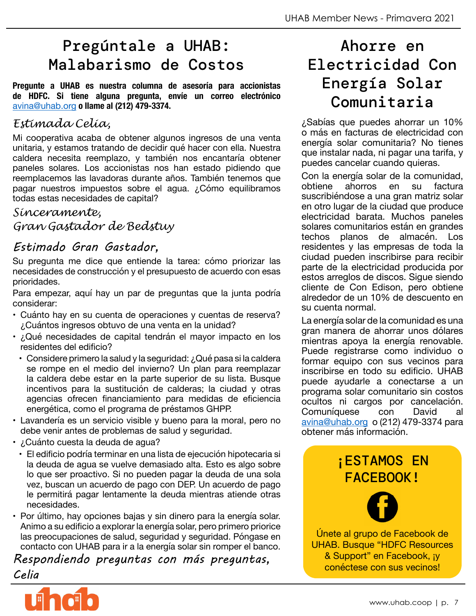## Pregúntale a UHAB: Malabarismo de Costos

**Pregunte a UHAB es nuestra columna de asesoría para accionistas de HDFC. Si tiene alguna pregunta, envíe un correo electrónico**  [avina@uhab.org](mailto:avina%40uhab.org?subject=) **o llame al (212) 479-3374.**

#### *Estimada Celia,*

Mi cooperativa acaba de obtener algunos ingresos de una venta unitaria, y estamos tratando de decidir qué hacer con ella. Nuestra caldera necesita reemplazo, y también nos encantaría obtener paneles solares. Los accionistas nos han estado pidiendo que reemplacemos las lavadoras durante años. También tenemos que pagar nuestros impuestos sobre el agua. ¿Cómo equilibramos todas estas necesidades de capital?

#### *Sinceramente,*

*Gran Gastador de Bedstuy*

#### *Estimado Gran Gastador,*

Su pregunta me dice que entiende la tarea: cómo priorizar las necesidades de construcción y el presupuesto de acuerdo con esas prioridades.

Para empezar, aquí hay un par de preguntas que la junta podría considerar:

- Cuánto hay en su cuenta de operaciones y cuentas de reserva? ¿Cuántos ingresos obtuvo de una venta en la unidad?
- ¿Qué necesidades de capital tendrán el mayor impacto en los residentes del edificio?
- Considere primero la salud y la seguridad: ¿Qué pasa si la caldera se rompe en el medio del invierno? Un plan para reemplazar la caldera debe estar en la parte superior de su lista. Busque incentivos para la sustitución de calderas; la ciudad y otras agencias ofrecen financiamiento para medidas de eficiencia energética, como el programa de préstamos GHPP.
- Lavandería es un servicio visible y bueno para la moral, pero no debe venir antes de problemas de salud y seguridad.
- ¿Cuánto cuesta la deuda de agua?
	- El edificio podría terminar en una lista de ejecución hipotecaria si la deuda de agua se vuelve demasiado alta. Esto es algo sobre lo que ser proactivo. Si no pueden pagar la deuda de una sola vez, buscan un acuerdo de pago con DEP. Un acuerdo de pago le permitirá pagar lentamente la deuda mientras atiende otras necesidades.
- Por último, hay opciones bajas y sin dinero para la energía solar. Animo a su edificio a explorar la energía solar, pero primero priorice las preocupaciones de salud, seguridad y seguridad. Póngase en contacto con UHAB para ir a la energía solar sin romper el banco.

*Respondiendo preguntas con más preguntas, Celia*



# Ahorre en Electricidad Con Energía Solar Comunitaria

¿Sabías que puedes ahorrar un 10% o más en facturas de electricidad con energía solar comunitaria? No tienes que instalar nada, ni pagar una tarifa, y puedes cancelar cuando quieras.

Con la energía solar de la comunidad,<br>obtiene ahorros en su factura ahorros en su factura suscribiéndose a una gran matriz solar en otro lugar de la ciudad que produce electricidad barata. Muchos paneles solares comunitarios están en grandes techos planos de almacén. Los residentes y las empresas de toda la ciudad pueden inscribirse para recibir parte de la electricidad producida por estos arreglos de discos. Sigue siendo cliente de Con Edison, pero obtiene alrededor de un 10% de descuento en su cuenta normal.

La energía solar de la comunidad es una gran manera de ahorrar unos dólares mientras apoya la energía renovable. Puede registrarse como individuo o formar equipo con sus vecinos para inscribirse en todo su edificio. UHAB puede ayudarle a conectarse a un programa solar comunitario sin costos ocultos ni cargos por cancelación.<br>Comuníquese con David al Comuníquese con David al [avina@uhab.org](mailto:avina%40uhab.org?subject=) o (212) 479-3374 para obtener más información.